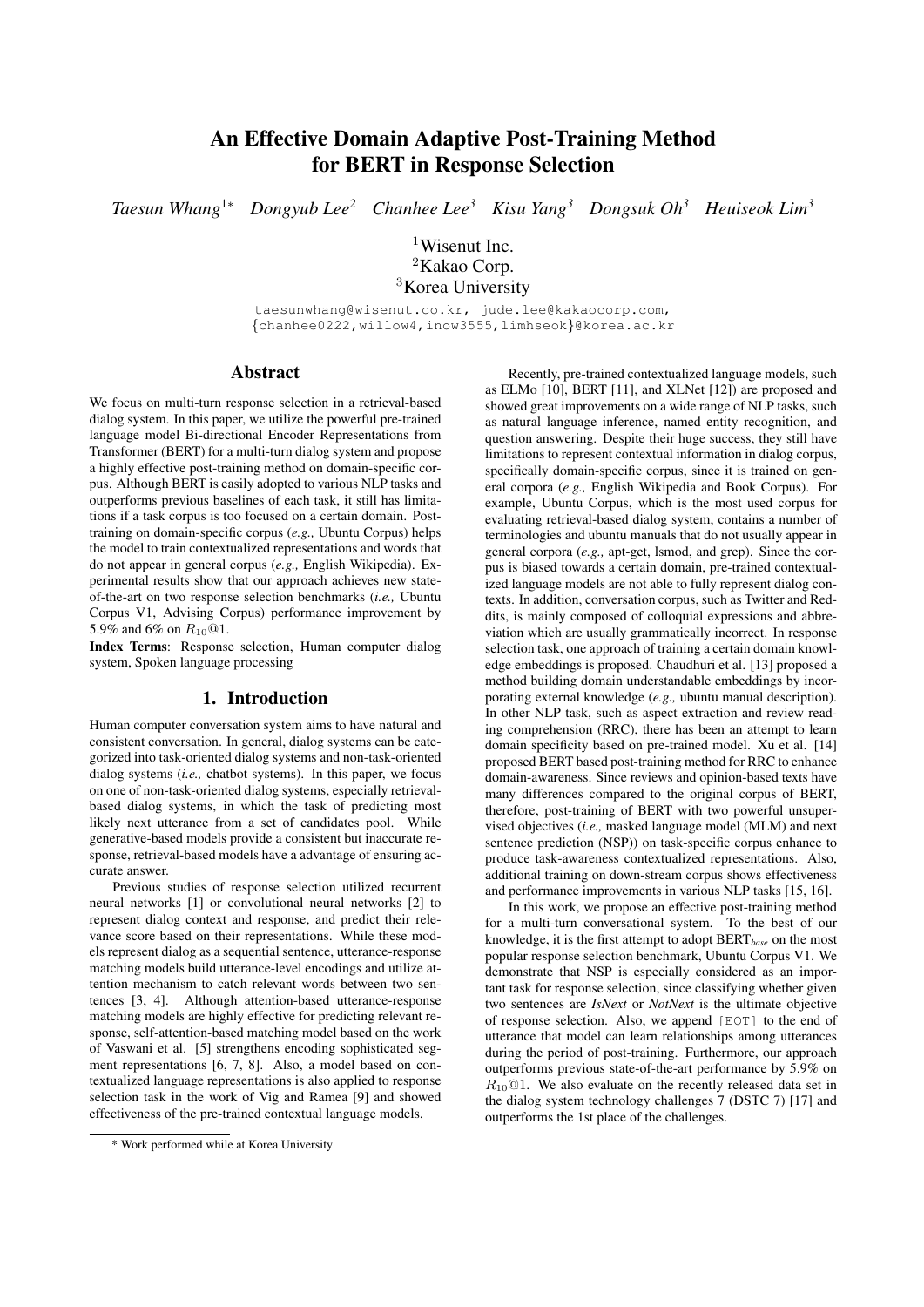# An Effective Domain Adaptive Post-Training Method for BERT in Response Selection

*Taesun Whang*<sup>1</sup><sup>∗</sup> *Dongyub Lee<sup>2</sup> Chanhee Lee<sup>3</sup> Kisu Yang<sup>3</sup> Dongsuk Oh<sup>3</sup> Heuiseok Lim<sup>3</sup>*

 $1$ Wisenut Inc. <sup>2</sup>Kakao Corp. <sup>3</sup>Korea University

taesunwhang@wisenut.co.kr, jude.lee@kakaocorp.com, {chanhee0222,willow4,inow3555,limhseok}@korea.ac.kr

## Abstract

We focus on multi-turn response selection in a retrieval-based dialog system. In this paper, we utilize the powerful pre-trained language model Bi-directional Encoder Representations from Transformer (BERT) for a multi-turn dialog system and propose a highly effective post-training method on domain-specific corpus. Although BERT is easily adopted to various NLP tasks and outperforms previous baselines of each task, it still has limitations if a task corpus is too focused on a certain domain. Posttraining on domain-specific corpus (*e.g.,* Ubuntu Corpus) helps the model to train contextualized representations and words that do not appear in general corpus (*e.g.,* English Wikipedia). Experimental results show that our approach achieves new stateof-the-art on two response selection benchmarks (*i.e.,* Ubuntu Corpus V1, Advising Corpus) performance improvement by 5.9% and 6% on  $R_{10}$  @1.

Index Terms: Response selection, Human computer dialog system, Spoken language processing

## 1. Introduction

Human computer conversation system aims to have natural and consistent conversation. In general, dialog systems can be categorized into task-oriented dialog systems and non-task-oriented dialog systems (*i.e.,* chatbot systems). In this paper, we focus on one of non-task-oriented dialog systems, especially retrievalbased dialog systems, in which the task of predicting most likely next utterance from a set of candidates pool. While generative-based models provide a consistent but inaccurate response, retrieval-based models have a advantage of ensuring accurate answer.

Previous studies of response selection utilized recurrent neural networks [1] or convolutional neural networks [2] to represent dialog context and response, and predict their relevance score based on their representations. While these models represent dialog as a sequential sentence, utterance-response matching models build utterance-level encodings and utilize attention mechanism to catch relevant words between two sentences [3, 4]. Although attention-based utterance-response matching models are highly effective for predicting relevant response, self-attention-based matching model based on the work of Vaswani et al. [5] strengthens encoding sophisticated segment representations [6, 7, 8]. Also, a model based on contextualized language representations is also applied to response selection task in the work of Vig and Ramea [9] and showed effectiveness of the pre-trained contextual language models.

Recently, pre-trained contextualized language models, such as ELMo [10], BERT [11], and XLNet [12]) are proposed and showed great improvements on a wide range of NLP tasks, such as natural language inference, named entity recognition, and question answering. Despite their huge success, they still have limitations to represent contextual information in dialog corpus, specifically domain-specific corpus, since it is trained on general corpora (*e.g.,* English Wikipedia and Book Corpus). For example, Ubuntu Corpus, which is the most used corpus for evaluating retrieval-based dialog system, contains a number of terminologies and ubuntu manuals that do not usually appear in general corpora (*e.g.,* apt-get, lsmod, and grep). Since the corpus is biased towards a certain domain, pre-trained contextualized language models are not able to fully represent dialog contexts. In addition, conversation corpus, such as Twitter and Reddits, is mainly composed of colloquial expressions and abbreviation which are usually grammatically incorrect. In response selection task, one approach of training a certain domain knowledge embeddings is proposed. Chaudhuri et al. [13] proposed a method building domain understandable embeddings by incorporating external knowledge (*e.g.,* ubuntu manual description). In other NLP task, such as aspect extraction and review reading comprehension (RRC), there has been an attempt to learn domain specificity based on pre-trained model. Xu et al. [14] proposed BERT based post-training method for RRC to enhance domain-awareness. Since reviews and opinion-based texts have many differences compared to the original corpus of BERT, therefore, post-training of BERT with two powerful unsupervised objectives (*i.e.,* masked language model (MLM) and next sentence prediction (NSP)) on task-specific corpus enhance to produce task-awareness contextualized representations. Also, additional training on down-stream corpus shows effectiveness and performance improvements in various NLP tasks [15, 16].

In this work, we propose an effective post-training method for a multi-turn conversational system. To the best of our knowledge, it is the first attempt to adopt BERT*base* on the most popular response selection benchmark, Ubuntu Corpus V1. We demonstrate that NSP is especially considered as an important task for response selection, since classifying whether given two sentences are *IsNext* or *NotNext* is the ultimate objective of response selection. Also, we append [EOT] to the end of utterance that model can learn relationships among utterances during the period of post-training. Furthermore, our approach outperforms previous state-of-the-art performance by 5.9% on  $R_{10}$ <sup>(a)</sup>1. We also evaluate on the recently released data set in the dialog system technology challenges 7 (DSTC 7) [17] and outperforms the 1st place of the challenges.

<sup>\*</sup> Work performed while at Korea University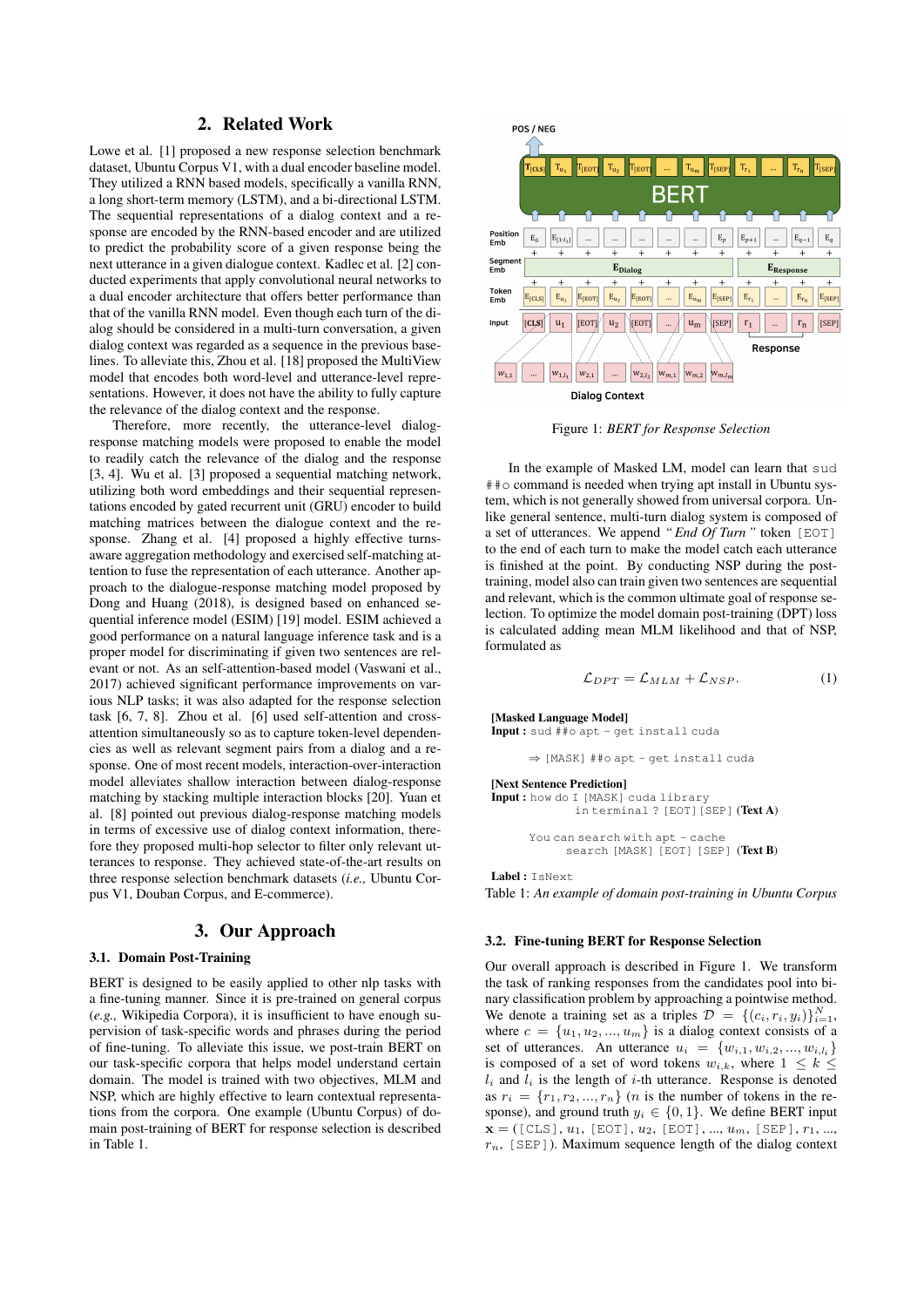## 2. Related Work

Lowe et al. [1] proposed a new response selection benchmark dataset, Ubuntu Corpus V1, with a dual encoder baseline model. They utilized a RNN based models, specifically a vanilla RNN, a long short-term memory (LSTM), and a bi-directional LSTM. The sequential representations of a dialog context and a response are encoded by the RNN-based encoder and are utilized to predict the probability score of a given response being the next utterance in a given dialogue context. Kadlec et al. [2] conducted experiments that apply convolutional neural networks to a dual encoder architecture that offers better performance than that of the vanilla RNN model. Even though each turn of the dialog should be considered in a multi-turn conversation, a given dialog context was regarded as a sequence in the previous baselines. To alleviate this, Zhou et al. [18] proposed the MultiView model that encodes both word-level and utterance-level representations. However, it does not have the ability to fully capture the relevance of the dialog context and the response.

Therefore, more recently, the utterance-level dialogresponse matching models were proposed to enable the model to readily catch the relevance of the dialog and the response [3, 4]. Wu et al. [3] proposed a sequential matching network, utilizing both word embeddings and their sequential representations encoded by gated recurrent unit (GRU) encoder to build matching matrices between the dialogue context and the response. Zhang et al. [4] proposed a highly effective turnsaware aggregation methodology and exercised self-matching attention to fuse the representation of each utterance. Another approach to the dialogue-response matching model proposed by Dong and Huang (2018), is designed based on enhanced sequential inference model (ESIM) [19] model. ESIM achieved a good performance on a natural language inference task and is a proper model for discriminating if given two sentences are relevant or not. As an self-attention-based model (Vaswani et al., 2017) achieved significant performance improvements on various NLP tasks; it was also adapted for the response selection task [6, 7, 8]. Zhou et al. [6] used self-attention and crossattention simultaneously so as to capture token-level dependencies as well as relevant segment pairs from a dialog and a response. One of most recent models, interaction-over-interaction model alleviates shallow interaction between dialog-response matching by stacking multiple interaction blocks [20]. Yuan et al. [8] pointed out previous dialog-response matching models in terms of excessive use of dialog context information, therefore they proposed multi-hop selector to filter only relevant utterances to response. They achieved state-of-the-art results on three response selection benchmark datasets (*i.e.,* Ubuntu Corpus V1, Douban Corpus, and E-commerce).

## 3. Our Approach

## 3.1. Domain Post-Training

BERT is designed to be easily applied to other nlp tasks with a fine-tuning manner. Since it is pre-trained on general corpus (*e.g.,* Wikipedia Corpora), it is insufficient to have enough supervision of task-specific words and phrases during the period of fine-tuning. To alleviate this issue, we post-train BERT on our task-specific corpora that helps model understand certain domain. The model is trained with two objectives, MLM and NSP, which are highly effective to learn contextual representations from the corpora. One example (Ubuntu Corpus) of domain post-training of BERT for response selection is described in Table 1.



Figure 1: *BERT for Response Selection*

In the example of Masked LM, model can learn that sud  $\# \uplus$  command is needed when trying apt install in Ubuntu system, which is not generally showed from universal corpora. Unlike general sentence, multi-turn dialog system is composed of a set of utterances. We append *" End Of Turn "* token [EOT] to the end of each turn to make the model catch each utterance is finished at the point. By conducting NSP during the posttraining, model also can train given two sentences are sequential and relevant, which is the common ultimate goal of response selection. To optimize the model domain post-training (DPT) loss is calculated adding mean MLM likelihood and that of NSP, formulated as

$$
\mathcal{L}_{DPT} = \mathcal{L}_{MLM} + \mathcal{L}_{NSP}.
$$
 (1)

[Masked Language Model]

Input : sud ##o apt - get install cuda

<sup>⇒</sup> [MASK] ##o apt - get install cuda

#### [Next Sentence Prediction]

Input : how do I [MASK] cuda library in terminal ? [EOT][SEP] (Text A)

> You can search with apt - cache search [MASK] [EOT] [SEP] (Text B)

Label : IsNext Table 1: *An example of domain post-training in Ubuntu Corpus*

## 3.2. Fine-tuning BERT for Response Selection

Our overall approach is described in Figure 1. We transform the task of ranking responses from the candidates pool into binary classification problem by approaching a pointwise method. We denote a training set as a triples  $\mathcal{D} = \{(c_i, r_i, y_i)\}_{i=1}^N$ , where  $c = \{u_1, u_2, ..., u_m\}$  is a dialog context consists of a set of utterances. An utterance  $u_i = \{w_{i,1}, w_{i,2}, ..., w_{i,l_i}\}\$ is composed of a set of word tokens  $w_{i,k}$ , where  $1 \leq k \leq$  $l_i$  and  $l_i$  is the length of *i*-th utterance. Response is denoted as  $r_i = \{r_1, r_2, ..., r_n\}$  (*n* is the number of tokens in the response), and ground truth  $y_i \in \{0, 1\}$ . We define BERT input  $\mathbf{x} = ($ [CLS],  $u_1$ , [EOT],  $u_2$ , [EOT], ...,  $u_m$ , [SEP],  $r_1$ , ...,  $r_n$ , [SEP]). Maximum sequence length of the dialog context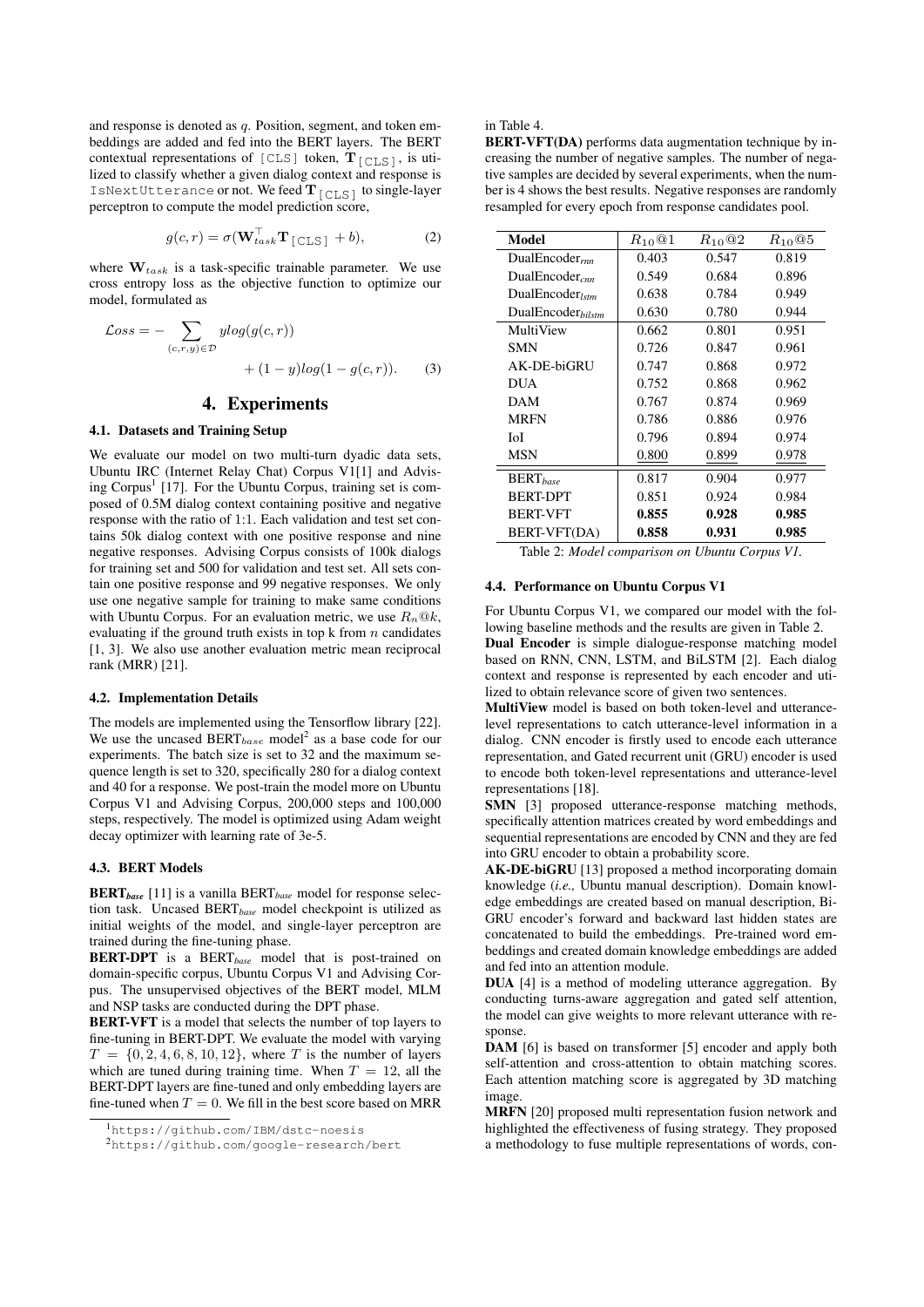and response is denoted as  $q$ . Position, segment, and token embeddings are added and fed into the BERT layers. The BERT contextual representations of [CLS] token,  $T_{\text{[CLS]}}$ , is utilized to classify whether a given dialog context and response is IsNextUtterance or not. We feed  $\mathbf{T}_{\texttt{[CLS]}}$  to single-layer perceptron to compute the model prediction score,

$$
g(c,r) = \sigma(\mathbf{W}_{task}^{\top} \mathbf{T}_{\text{[CLS]}} + b), \tag{2}
$$

where  $\mathbf{W}_{task}$  is a task-specific trainable parameter. We use cross entropy loss as the objective function to optimize our model, formulated as

$$
\mathcal{L}oss = -\sum_{(c,r,y)\in\mathcal{D}} ylog(g(c,r)) + (1-y)log(1-g(c,r)).
$$
 (3)

## 4. Experiments

## 4.1. Datasets and Training Setup

We evaluate our model on two multi-turn dyadic data sets, Ubuntu IRC (Internet Relay Chat) Corpus V1[1] and Advising Corpus<sup>1</sup> [17]. For the Ubuntu Corpus, training set is composed of 0.5M dialog context containing positive and negative response with the ratio of 1:1. Each validation and test set contains 50k dialog context with one positive response and nine negative responses. Advising Corpus consists of 100k dialogs for training set and 500 for validation and test set. All sets contain one positive response and 99 negative responses. We only use one negative sample for training to make same conditions with Ubuntu Corpus. For an evaluation metric, we use  $R_n@k$ , evaluating if the ground truth exists in top  $k$  from  $n$  candidates [1, 3]. We also use another evaluation metric mean reciprocal rank (MRR) [21].

#### 4.2. Implementation Details

The models are implemented using the Tensorflow library [22]. We use the uncased BERT<sub>base</sub> model<sup>2</sup> as a base code for our experiments. The batch size is set to 32 and the maximum sequence length is set to 320, specifically 280 for a dialog context and 40 for a response. We post-train the model more on Ubuntu Corpus V1 and Advising Corpus, 200,000 steps and 100,000 steps, respectively. The model is optimized using Adam weight decay optimizer with learning rate of 3e-5.

## 4.3. BERT Models

BERT*base* [11] is a vanilla BERT*base* model for response selection task. Uncased BERT*base* model checkpoint is utilized as initial weights of the model, and single-layer perceptron are trained during the fine-tuning phase.

BERT-DPT is a BERT*base* model that is post-trained on domain-specific corpus, Ubuntu Corpus V1 and Advising Corpus. The unsupervised objectives of the BERT model, MLM and NSP tasks are conducted during the DPT phase.

BERT-VFT is a model that selects the number of top layers to fine-tuning in BERT-DPT. We evaluate the model with varying  $T = \{0, 2, 4, 6, 8, 10, 12\}$ , where T is the number of layers which are tuned during training time. When  $T = 12$ , all the BERT-DPT layers are fine-tuned and only embedding layers are fine-tuned when  $T = 0$ . We fill in the best score based on MRR

#### in Table 4.

BERT-VFT(DA) performs data augmentation technique by increasing the number of negative samples. The number of negative samples are decided by several experiments, when the number is 4 shows the best results. Negative responses are randomly resampled for every epoch from response candidates pool.

| Model                       | $R_{10}$ <sup><math>@1</math></sup> | $R_{10}$ <sup>Q</sup> 2 | $R_{10}$ <sup><math>@5</math></sup> |
|-----------------------------|-------------------------------------|-------------------------|-------------------------------------|
| DualEncoder $_{rm}$         | 0.403                               | 0.547                   | 0.819                               |
| DualEncoder <sub>cnn</sub>  | 0.549                               | 0.684                   | 0.896                               |
| DualEncoder <sub>/stm</sub> | 0.638                               | 0.784                   | 0.949                               |
| $DualEncoder_{bilstm}$      | 0.630                               | 0.780                   | 0.944                               |
| MultiView                   | 0.662                               | 0.801                   | 0.951                               |
| <b>SMN</b>                  | 0.726                               | 0.847                   | 0.961                               |
| AK-DE-biGRU                 | 0.747                               | 0.868                   | 0.972                               |
| DUA                         | 0.752                               | 0.868                   | 0.962                               |
| DAM                         | 0.767                               | 0.874                   | 0.969                               |
| <b>MRFN</b>                 | 0.786                               | 0.886                   | 0.976                               |
| ЮI                          | 0.796                               | 0.894                   | 0.974                               |
| <b>MSN</b>                  | 0.800                               | 0.899                   | 0.978                               |
| $BERT_{base}$               | 0.817                               | 0.904                   | 0.977                               |
| <b>BERT-DPT</b>             | 0.851                               | 0.924                   | 0.984                               |
| <b>BERT-VFT</b>             | 0.855                               | 0.928                   | 0.985                               |
| BERT-VFT(DA)                | 0.858                               | 0.931                   | 0.985                               |

Table 2: *Model comparison on Ubuntu Corpus V1.*

#### 4.4. Performance on Ubuntu Corpus V1

For Ubuntu Corpus V1, we compared our model with the following baseline methods and the results are given in Table 2.

Dual Encoder is simple dialogue-response matching model based on RNN, CNN, LSTM, and BiLSTM [2]. Each dialog context and response is represented by each encoder and utilized to obtain relevance score of given two sentences.

MultiView model is based on both token-level and utterancelevel representations to catch utterance-level information in a dialog. CNN encoder is firstly used to encode each utterance representation, and Gated recurrent unit (GRU) encoder is used to encode both token-level representations and utterance-level representations [18].

SMN [3] proposed utterance-response matching methods, specifically attention matrices created by word embeddings and sequential representations are encoded by CNN and they are fed into GRU encoder to obtain a probability score.

AK-DE-biGRU [13] proposed a method incorporating domain knowledge (*i.e.,* Ubuntu manual description). Domain knowledge embeddings are created based on manual description, Bi-GRU encoder's forward and backward last hidden states are concatenated to build the embeddings. Pre-trained word embeddings and created domain knowledge embeddings are added and fed into an attention module.

DUA [4] is a method of modeling utterance aggregation. By conducting turns-aware aggregation and gated self attention, the model can give weights to more relevant utterance with response.

DAM [6] is based on transformer [5] encoder and apply both self-attention and cross-attention to obtain matching scores. Each attention matching score is aggregated by 3D matching image.

MRFN [20] proposed multi representation fusion network and highlighted the effectiveness of fusing strategy. They proposed a methodology to fuse multiple representations of words, con-

<sup>1</sup>https://github.com/IBM/dstc-noesis

<sup>2</sup>https://github.com/google-research/bert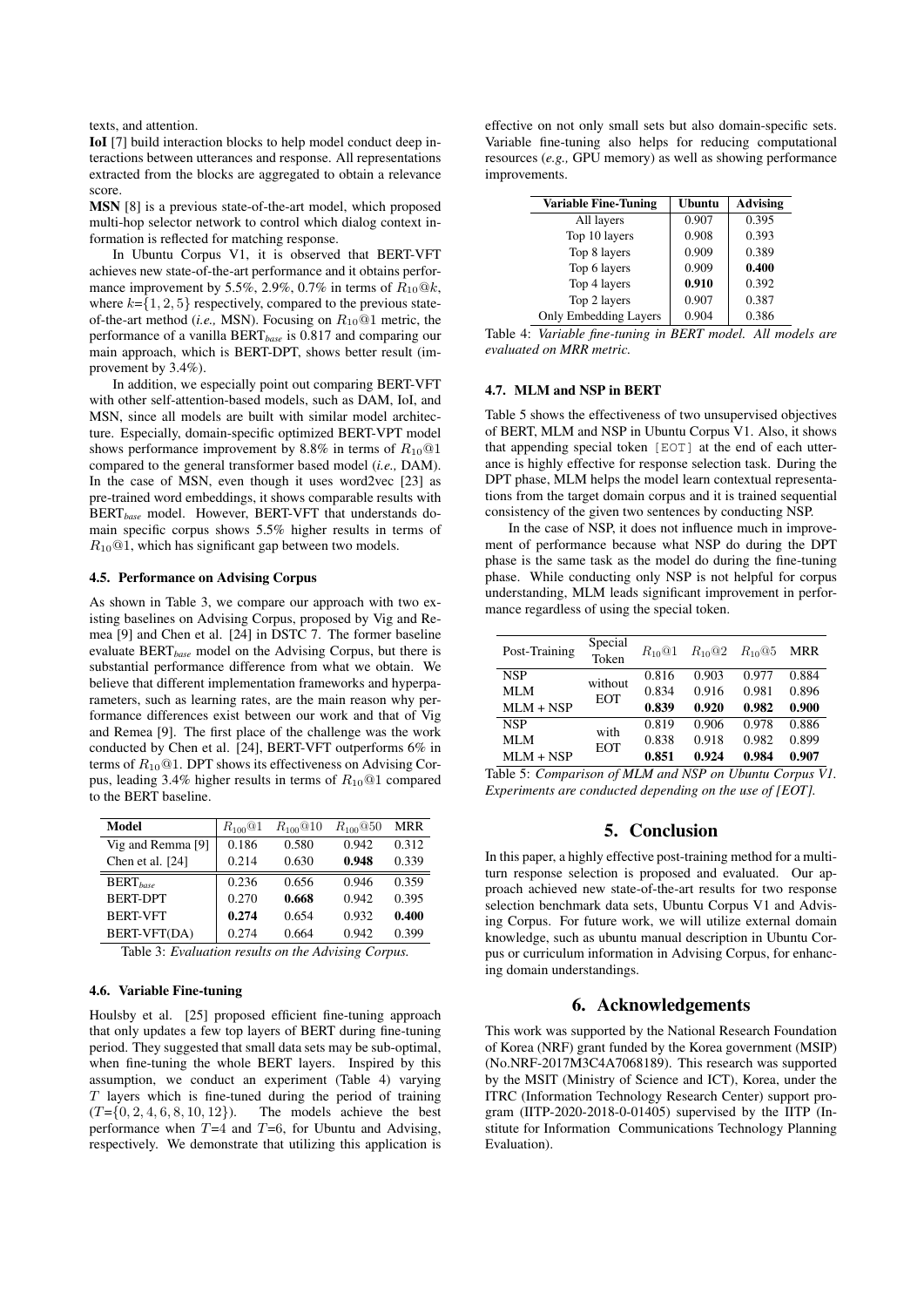texts, and attention.

IoI [7] build interaction blocks to help model conduct deep interactions between utterances and response. All representations extracted from the blocks are aggregated to obtain a relevance score.

MSN [8] is a previous state-of-the-art model, which proposed multi-hop selector network to control which dialog context information is reflected for matching response.

In Ubuntu Corpus V1, it is observed that BERT-VFT achieves new state-of-the-art performance and it obtains performance improvement by 5.5%, 2.9%, 0.7% in terms of  $R_{10}@k$ , where  $k = \{1, 2, 5\}$  respectively, compared to the previous stateof-the-art method (*i.e.,* MSN). Focusing on R10@1 metric, the performance of a vanilla BERT*base* is 0.817 and comparing our main approach, which is BERT-DPT, shows better result (improvement by 3.4%).

In addition, we especially point out comparing BERT-VFT with other self-attention-based models, such as DAM, IoI, and MSN, since all models are built with similar model architecture. Especially, domain-specific optimized BERT-VPT model shows performance improvement by 8.8% in terms of  $R_{10}$  @1 compared to the general transformer based model (*i.e.,* DAM). In the case of MSN, even though it uses word2vec [23] as pre-trained word embeddings, it shows comparable results with BERT*base* model. However, BERT-VFT that understands domain specific corpus shows 5.5% higher results in terms of  $R_{10}$ @1, which has significant gap between two models.

#### 4.5. Performance on Advising Corpus

As shown in Table 3, we compare our approach with two existing baselines on Advising Corpus, proposed by Vig and Remea [9] and Chen et al. [24] in DSTC 7. The former baseline evaluate BERT*base* model on the Advising Corpus, but there is substantial performance difference from what we obtain. We believe that different implementation frameworks and hyperparameters, such as learning rates, are the main reason why performance differences exist between our work and that of Vig and Remea [9]. The first place of the challenge was the work conducted by Chen et al. [24], BERT-VFT outperforms 6% in terms of  $R_{10}$ @1. DPT shows its effectiveness on Advising Corpus, leading 3.4% higher results in terms of  $R_{10}$  @1 compared to the BERT baseline.

|       | $R_{100}$ <sup>Q</sup> 10 | $R_{100}$ @50 | MRR   |
|-------|---------------------------|---------------|-------|
| 0.186 | 0.580                     | 0.942         | 0.312 |
| 0.214 | 0.630                     | 0.948         | 0.339 |
| 0.236 | 0.656                     | 0.946         | 0.359 |
| 0.270 | 0.668                     | 0.942         | 0.395 |
| 0.274 | 0.654                     | 0.932         | 0.400 |
| 0.274 | 0.664                     | 0.942         | 0.399 |
|       | $\sim$<br>$\sim$ $\sim$   |               |       |

Table 3: *Evaluation results on the Advising Corpus.*

## 4.6. Variable Fine-tuning

Houlsby et al. [25] proposed efficient fine-tuning approach that only updates a few top layers of BERT during fine-tuning period. They suggested that small data sets may be sub-optimal, when fine-tuning the whole BERT layers. Inspired by this assumption, we conduct an experiment (Table 4) varying  $T$  layers which is fine-tuned during the period of training  $(T=[0, 2, 4, 6, 8, 10, 12])$ . The models achieve the best performance when  $T=4$  and  $T=6$ , for Ubuntu and Advising, respectively. We demonstrate that utilizing this application is effective on not only small sets but also domain-specific sets. Variable fine-tuning also helps for reducing computational resources (*e.g.,* GPU memory) as well as showing performance improvements.

| <b>Variable Fine-Tuning</b>  | <b>Ubuntu</b> | Advising |  |
|------------------------------|---------------|----------|--|
| All layers                   | 0.907         | 0.395    |  |
| Top 10 layers                | 0.908         | 0.393    |  |
| Top 8 layers                 | 0.909         | 0.389    |  |
| Top 6 layers                 | 0.909         | 0.400    |  |
| Top 4 layers                 | 0.910         | 0.392    |  |
| Top 2 layers                 | 0.907         | 0.387    |  |
| <b>Only Embedding Layers</b> | 0.904         | 0.386    |  |

Table 4: *Variable fine-tuning in BERT model. All models are evaluated on MRR metric.*

#### 4.7. MLM and NSP in BERT

Table 5 shows the effectiveness of two unsupervised objectives of BERT, MLM and NSP in Ubuntu Corpus V1. Also, it shows that appending special token [EOT] at the end of each utterance is highly effective for response selection task. During the DPT phase, MLM helps the model learn contextual representations from the target domain corpus and it is trained sequential consistency of the given two sentences by conducting NSP.

In the case of NSP, it does not influence much in improvement of performance because what NSP do during the DPT phase is the same task as the model do during the fine-tuning phase. While conducting only NSP is not helpful for corpus understanding, MLM leads significant improvement in performance regardless of using the special token.

| Post-Training | Special<br>Token      | $R_{10}$ @1 | $R_{10}$ <sup>Q</sup> 2 | $R_{10}$ @5 | MRR   |
|---------------|-----------------------|-------------|-------------------------|-------------|-------|
| <b>NSP</b>    | without<br><b>EOT</b> | 0.816       | 0.903                   | 0.977       | 0.884 |
| MLM           |                       | 0.834       | 0.916                   | 0.981       | 0.896 |
| $MLM + NSP$   |                       | 0.839       | 0.920                   | 0.982       | 0.900 |
| <b>NSP</b>    | with<br><b>EOT</b>    | 0.819       | 0.906                   | 0.978       | 0.886 |
| MLM           |                       | 0.838       | 0.918                   | 0.982       | 0.899 |
| $MLM + NSP$   |                       | 0.851       | 0.924                   | 0.984       | 0.907 |

Table 5: *Comparison of MLM and NSP on Ubuntu Corpus V1. Experiments are conducted depending on the use of [EOT].*

## 5. Conclusion

In this paper, a highly effective post-training method for a multiturn response selection is proposed and evaluated. Our approach achieved new state-of-the-art results for two response selection benchmark data sets, Ubuntu Corpus V1 and Advising Corpus. For future work, we will utilize external domain knowledge, such as ubuntu manual description in Ubuntu Corpus or curriculum information in Advising Corpus, for enhancing domain understandings.

## 6. Acknowledgements

This work was supported by the National Research Foundation of Korea (NRF) grant funded by the Korea government (MSIP) (No.NRF-2017M3C4A7068189). This research was supported by the MSIT (Ministry of Science and ICT), Korea, under the ITRC (Information Technology Research Center) support program (IITP-2020-2018-0-01405) supervised by the IITP (Institute for Information Communications Technology Planning Evaluation).